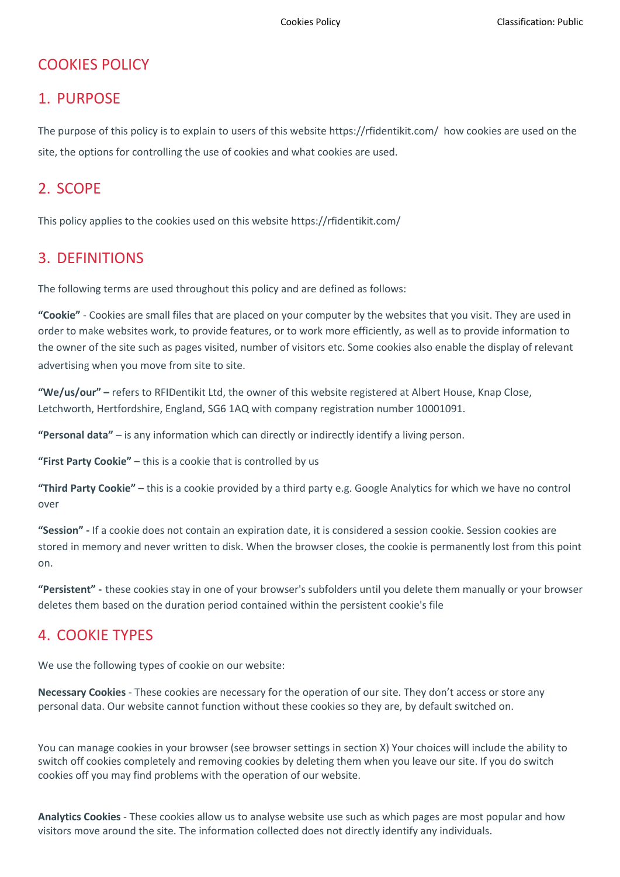# COOKIES POLICY

### 1. PURPOSE

The purpose of this policy is to explain to users of this website https://rfidentikit.com/ how cookies are used on the site, the options for controlling the use of cookies and what cookies are used.

# 2. SCOPE

This policy applies to the cookies used on this website https://rfidentikit.com/

# 3. DEFINITIONS

The following terms are used throughout this policy and are defined as follows:

**"Cookie"** - Cookies are small files that are placed on your computer by the websites that you visit. They are used in order to make websites work, to provide features, or to work more efficiently, as well as to provide information to the owner of the site such as pages visited, number of visitors etc. Some cookies also enable the display of relevant advertising when you move from site to site.

**"We/us/our" –** refers to RFIDentikit Ltd, the owner of this website registered at Albert House, Knap Close, Letchworth, Hertfordshire, England, SG6 1AQ with company registration number 10001091.

**"Personal data"** – is any information which can directly or indirectly identify a living person.

**"First Party Cookie"** – this is a cookie that is controlled by us

**"Third Party Cookie"** – this is a cookie provided by a third party e.g. Google Analytics for which we have no control over

**"Session" -** If a cookie does not contain an expiration date, it is considered a session cookie. Session cookies are stored in memory and never written to disk. When the browser closes, the cookie is permanently lost from this point on.

**"Persistent" -** these cookies stay in one of your browser's subfolders until you delete them manually or your browser deletes them based on the duration period contained within the persistent cookie's file

# 4. COOKIE TYPES

We use the following types of cookie on our website:

**Necessary Cookies** - These cookies are necessary for the operation of our site. They don't access or store any personal data. Our website cannot function without these cookies so they are, by default switched on.

You can manage cookies in your browser (see browser settings in section X) Your choices will include the ability to switch off cookies completely and removing cookies by deleting them when you leave our site. If you do switch cookies off you may find problems with the operation of our website.

**Analytics Cookies** - These cookies allow us to analyse website use such as which pages are most popular and how visitors move around the site. The information collected does not directly identify any individuals.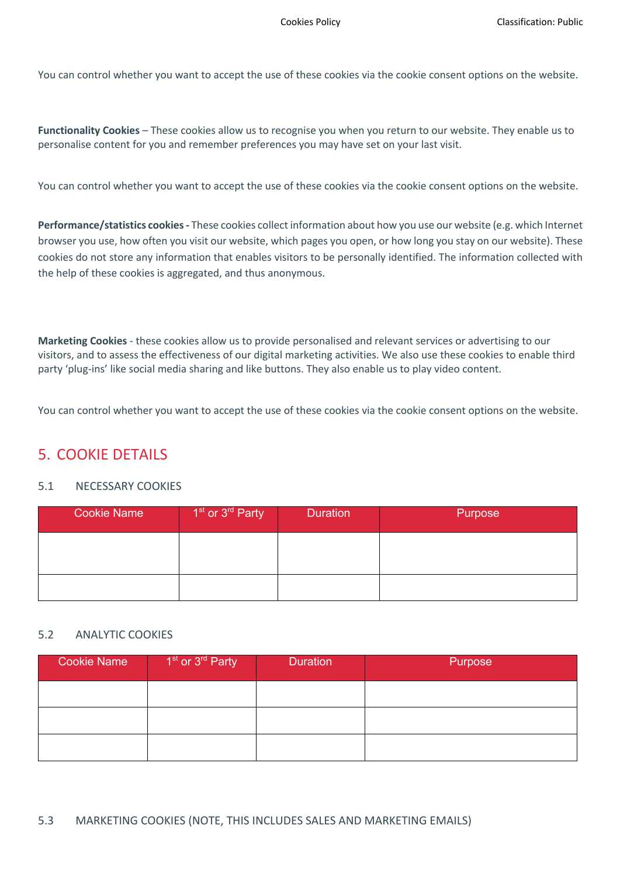You can control whether you want to accept the use of these cookies via the cookie consent options on the website.

**Functionality Cookies** – These cookies allow us to recognise you when you return to our website. They enable us to personalise content for you and remember preferences you may have set on your last visit.

You can control whether you want to accept the use of these cookies via the cookie consent options on the website.

**Performance/statistics cookies-** These cookies collect information about how you use our website (e.g. which Internet browser you use, how often you visit our website, which pages you open, or how long you stay on our website). These cookies do not store any information that enables visitors to be personally identified. The information collected with the help of these cookies is aggregated, and thus anonymous.

**Marketing Cookies** - these cookies allow us to provide personalised and relevant services or advertising to our visitors, and to assess the effectiveness of our digital marketing activities. We also use these cookies to enable third party 'plug-ins' like social media sharing and like buttons. They also enable us to play video content.

You can control whether you want to accept the use of these cookies via the cookie consent options on the website.

# 5. COOKIE DETAILS

### 5.1 NECESSARY COOKIES

| <b>Cookie Name</b> | 1 <sup>st</sup> or 3 <sup>rd</sup> Party | <b>Duration</b> | Purpose |
|--------------------|------------------------------------------|-----------------|---------|
|                    |                                          |                 |         |
|                    |                                          |                 |         |
|                    |                                          |                 |         |

#### 5.2 ANALYTIC COOKIES

| <b>Cookie Name</b> | 1 <sup>st</sup> or 3 <sup>rd</sup> Party | <b>Duration</b> | Purpose |
|--------------------|------------------------------------------|-----------------|---------|
|                    |                                          |                 |         |
|                    |                                          |                 |         |
|                    |                                          |                 |         |